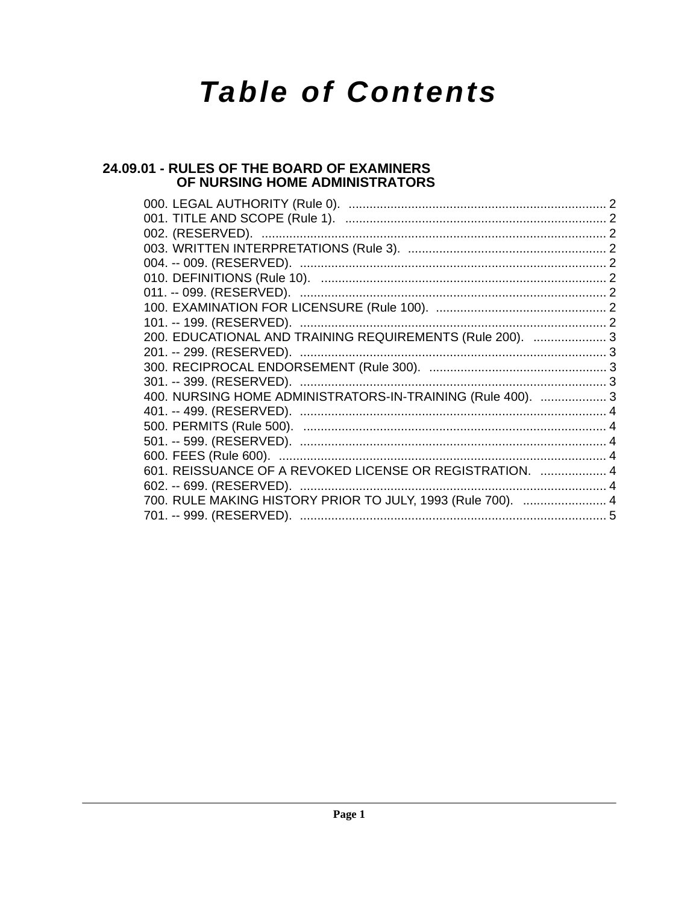# **Table of Contents**

# 24.09.01 - RULES OF THE BOARD OF EXAMINERS OF NURSING HOME ADMINISTRATORS

| 200. EDUCATIONAL AND TRAINING REQUIREMENTS (Rule 200).  3   |  |
|-------------------------------------------------------------|--|
|                                                             |  |
|                                                             |  |
|                                                             |  |
| 400. NURSING HOME ADMINISTRATORS-IN-TRAINING (Rule 400).  3 |  |
|                                                             |  |
|                                                             |  |
|                                                             |  |
|                                                             |  |
| 601. REISSUANCE OF A REVOKED LICENSE OR REGISTRATION.  4    |  |
|                                                             |  |
| 700. RULE MAKING HISTORY PRIOR TO JULY, 1993 (Rule 700).  4 |  |
| 701. -- 999. (RESERVED). …………………………………………………………………………………5   |  |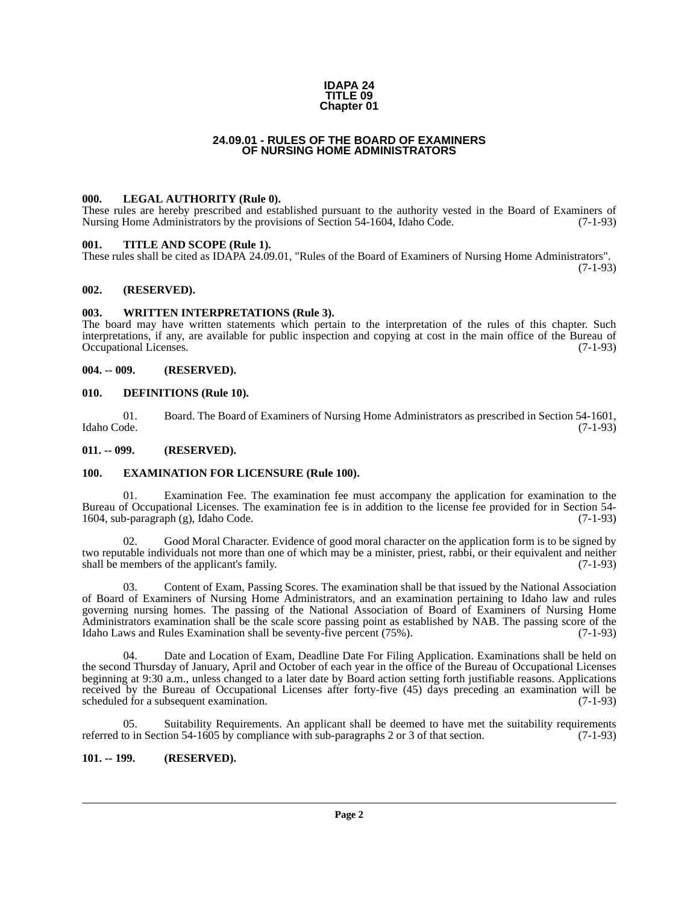#### **IDAPA 24 TITLE 09 Chapter 01**

# **24.09.01 - RULES OF THE BOARD OF EXAMINERS OF NURSING HOME ADMINISTRATORS**

#### <span id="page-1-1"></span><span id="page-1-0"></span>**000. LEGAL AUTHORITY (Rule 0).**

These rules are hereby prescribed and established pursuant to the authority vested in the Board of Examiners of Nursing Home Administrators by the provisions of Section 54-1604, Idaho Code. (7-1-93)

#### <span id="page-1-2"></span>**001. TITLE AND SCOPE (Rule 1).**

These rules shall be cited as IDAPA 24.09.01, "Rules of the Board of Examiners of Nursing Home Administrators".  $(7-1-93)$ 

# <span id="page-1-3"></span>**002. (RESERVED).**

#### <span id="page-1-4"></span>**003. WRITTEN INTERPRETATIONS (Rule 3).**

The board may have written statements which pertain to the interpretation of the rules of this chapter. Such interpretations, if any, are available for public inspection and copying at cost in the main office of the Bureau of Occupational Licenses.

#### <span id="page-1-5"></span>**004. -- 009. (RESERVED).**

#### <span id="page-1-6"></span>**010. DEFINITIONS (Rule 10).**

01. Board. The Board of Examiners of Nursing Home Administrators as prescribed in Section 54-1601, Idaho Code. (7-1-93)

<span id="page-1-7"></span>**011. -- 099. (RESERVED).**

#### <span id="page-1-8"></span>**100. EXAMINATION FOR LICENSURE (Rule 100).**

01. Examination Fee. The examination fee must accompany the application for examination to the Bureau of Occupational Licenses. The examination fee is in addition to the license fee provided for in Section 54-<br>1604, sub-paragraph (g), Idaho Code. (7-1-93) 1604, sub-paragraph  $(g)$ , Idaho Code.

Good Moral Character. Evidence of good moral character on the application form is to be signed by two reputable individuals not more than one of which may be a minister, priest, rabbi, or their equivalent and neither shall be members of the applicant's family. (7-1-93)

03. Content of Exam, Passing Scores. The examination shall be that issued by the National Association of Board of Examiners of Nursing Home Administrators, and an examination pertaining to Idaho law and rules governing nursing homes. The passing of the National Association of Board of Examiners of Nursing Home Administrators examination shall be the scale score passing point as established by NAB. The passing score of the Idaho Laws and Rules Examination shall be seventy-five percent (75%). Idaho Laws and Rules Examination shall be seventy-five percent  $(75%)$ .

04. Date and Location of Exam, Deadline Date For Filing Application. Examinations shall be held on the second Thursday of January, April and October of each year in the office of the Bureau of Occupational Licenses beginning at 9:30 a.m., unless changed to a later date by Board action setting forth justifiable reasons. Applications received by the Bureau of Occupational Licenses after forty-five (45) days preceding an examination will be scheduled for a subsequent examination. (7-1-93) scheduled for a subsequent examination.

05. Suitability Requirements. An applicant shall be deemed to have met the suitability requirements to in Section 54-1605 by compliance with sub-paragraphs 2 or 3 of that section. (7-1-93) referred to in Section  $54-1605$  by compliance with sub-paragraphs 2 or 3 of that section.

## <span id="page-1-9"></span>**101. -- 199. (RESERVED).**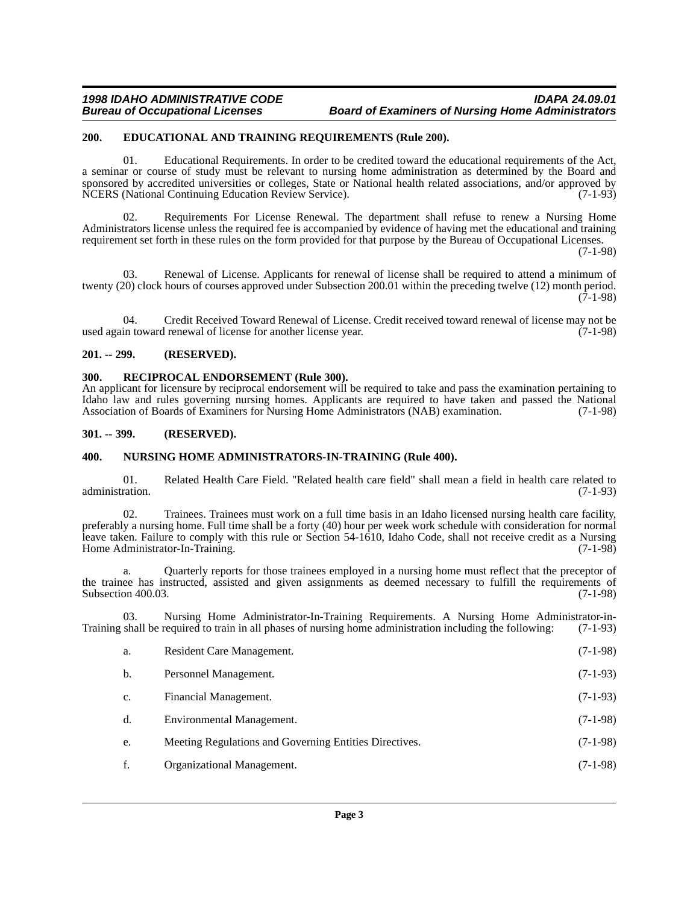### <span id="page-2-0"></span>**200. EDUCATIONAL AND TRAINING REQUIREMENTS (Rule 200).**

01. Educational Requirements. In order to be credited toward the educational requirements of the Act, a seminar or course of study must be relevant to nursing home administration as determined by the Board and sponsored by accredited universities or colleges, State or National health related associations, and/or approved by NCERS (National Continuing Education Review Service). (7-1-93)

02. Requirements For License Renewal. The department shall refuse to renew a Nursing Home Administrators license unless the required fee is accompanied by evidence of having met the educational and training requirement set forth in these rules on the form provided for that purpose by the Bureau of Occupational Licenses.

(7-1-98)

03. Renewal of License. Applicants for renewal of license shall be required to attend a minimum of twenty (20) clock hours of courses approved under Subsection 200.01 within the preceding twelve (12) month period. (7-1-98)

04. Credit Received Toward Renewal of License. Credit received toward renewal of license may not be in toward renewal of license for another license year. (7-1-98) used again toward renewal of license for another license year.

#### <span id="page-2-1"></span>**201. -- 299. (RESERVED).**

## <span id="page-2-2"></span>**300. RECIPROCAL ENDORSEMENT (Rule 300).**

An applicant for licensure by reciprocal endorsement will be required to take and pass the examination pertaining to Idaho law and rules governing nursing homes. Applicants are required to have taken and passed the National Association of Boards of Examiners for Nursing Home Administrators (NAB) examination. (7-1-98)

#### <span id="page-2-3"></span>**301. -- 399. (RESERVED).**

#### <span id="page-2-4"></span>**400. NURSING HOME ADMINISTRATORS-IN-TRAINING (Rule 400).**

01. Related Health Care Field. "Related health care field" shall mean a field in health care related to administration.

02. Trainees. Trainees must work on a full time basis in an Idaho licensed nursing health care facility, preferably a nursing home. Full time shall be a forty (40) hour per week work schedule with consideration for normal leave taken. Failure to comply with this rule or Section 54-1610, Idaho Code, shall not receive credit as a Nursing Home Administrator-In-Training. (7-1-98)

Quarterly reports for those trainees employed in a nursing home must reflect that the preceptor of the trainee has instructed, assisted and given assignments as deemed necessary to fulfill the requirements of Subsection 400.03. (7-1-98) Subsection 400.03.

03. Nursing Home Administrator-In-Training Requirements. A Nursing Home Administrator-in-<br>shall be required to train in all phases of nursing home administration including the following: (7-1-93) Training shall be required to train in all phases of nursing home administration including the following:

| a. | Resident Care Management.                              | $(7-1-98)$ |
|----|--------------------------------------------------------|------------|
| b. | Personnel Management.                                  | $(7-1-93)$ |
| c. | Financial Management.                                  | $(7-1-93)$ |
| d. | Environmental Management.                              | $(7-1-98)$ |
| e. | Meeting Regulations and Governing Entities Directives. | $(7-1-98)$ |
| f. | Organizational Management.                             | $(7-1-98)$ |
|    |                                                        |            |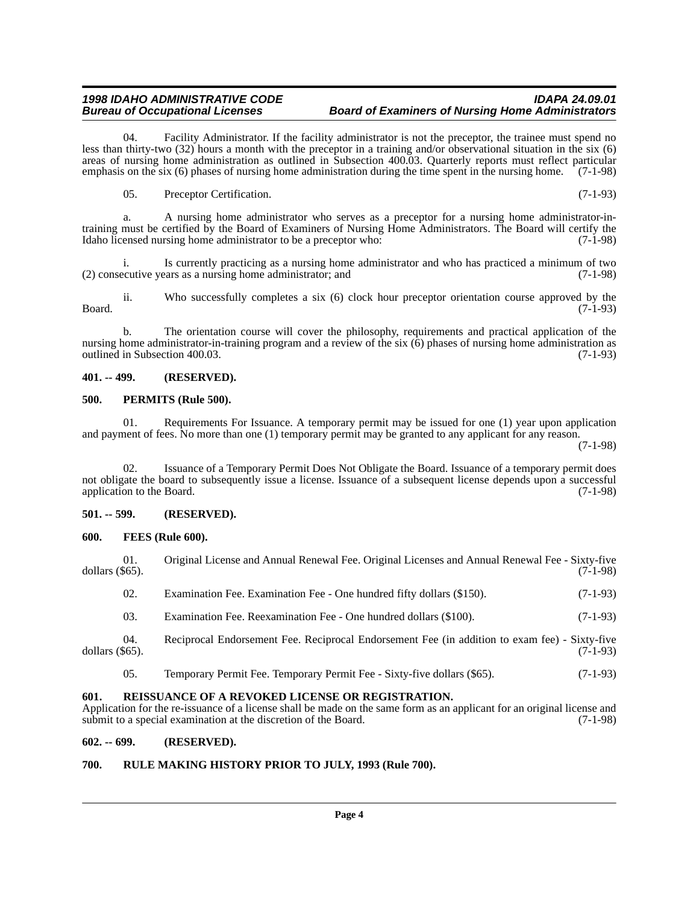04. Facility Administrator. If the facility administrator is not the preceptor, the trainee must spend no less than thirty-two (32) hours a month with the preceptor in a training and/or observational situation in the six (6) areas of nursing home administration as outlined in Subsection 400.03. Quarterly reports must reflect particular emphasis on the six (6) phases of nursing home administration during the time spent in the nursing home. (7-1-98)

05. Preceptor Certification. (7-1-93)

a. A nursing home administrator who serves as a preceptor for a nursing home administrator-intraining must be certified by the Board of Examiners of Nursing Home Administrators. The Board will certify the Idaho licensed nursing home administrator to be a preceptor who: (7-1-98)

i. Is currently practicing as a nursing home administrator and who has practiced a minimum of two ecutive years as a nursing home administrator; and (7-1-98)  $(2)$  consecutive years as a nursing home administrator; and

ii. Who successfully completes a six (6) clock hour preceptor orientation course approved by the Board. (7-1-93)

b. The orientation course will cover the philosophy, requirements and practical application of the nursing home administrator-in-training program and a review of the six (6) phases of nursing home administration as outlined in Subsection 400.03. (7-1-93)

# <span id="page-3-0"></span>**401. -- 499. (RESERVED).**

# <span id="page-3-1"></span>**500. PERMITS (Rule 500).**

01. Requirements For Issuance. A temporary permit may be issued for one (1) year upon application and payment of fees. No more than one (1) temporary permit may be granted to any applicant for any reason.

(7-1-98)

02. Issuance of a Temporary Permit Does Not Obligate the Board. Issuance of a temporary permit does not obligate the board to subsequently issue a license. Issuance of a subsequent license depends upon a successful application to the Board. (7-1-98) application to the Board.

# <span id="page-3-2"></span>**501. -- 599. (RESERVED).**

#### <span id="page-3-3"></span>**600. FEES (Rule 600).**

| 01.<br>dollars $(\$65)$ . | Original License and Annual Renewal Fee. Original Licenses and Annual Renewal Fee - Sixty-five | $(7-1-98)$ |
|---------------------------|------------------------------------------------------------------------------------------------|------------|
| 02.                       | Examination Fee. Examination Fee - One hundred fifty dollars (\$150).                          | $(7-1-93)$ |
| 03.                       | Examination Fee. Reexamination Fee - One hundred dollars (\$100).                              | $(7-1-93)$ |
| 04.<br>dollars $(\$65)$ . | Reciprocal Endorsement Fee. Reciprocal Endorsement Fee (in addition to exam fee) - Sixty-five  | $(7-1-93)$ |
| 05.                       | Temporary Permit Fee. Temporary Permit Fee - Sixty-five dollars (\$65).                        | $(7-1-93)$ |

# <span id="page-3-4"></span>**601. REISSUANCE OF A REVOKED LICENSE OR REGISTRATION.**

Application for the re-issuance of a license shall be made on the same form as an applicant for an original license and submit to a special examination at the discretion of the Board. (7-1-98)

# <span id="page-3-5"></span>**602. -- 699. (RESERVED).**

# <span id="page-3-6"></span>**700. RULE MAKING HISTORY PRIOR TO JULY, 1993 (Rule 700).**